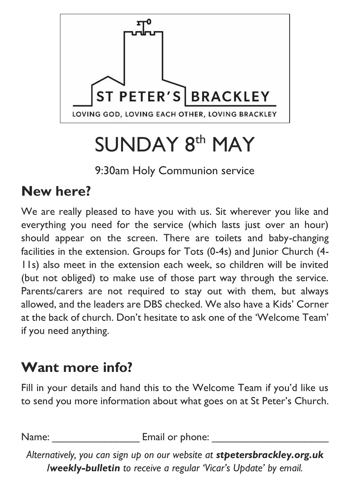

# SUNDAY 8<sup>th</sup> MAY

9:30am Holy Communion service

### **New here?**

We are really pleased to have you with us. Sit wherever you like and everything you need for the service (which lasts just over an hour) should appear on the screen. There are toilets and baby-changing facilities in the extension. Groups for Tots (0-4s) and Junior Church (4- 11s) also meet in the extension each week, so children will be invited (but not obliged) to make use of those part way through the service. Parents/carers are not required to stay out with them, but always allowed, and the leaders are DBS checked. We also have a Kids' Corner at the back of church. Don't hesitate to ask one of the 'Welcome Team' if you need anything.

## **Want more info?**

Fill in your details and hand this to the Welcome Team if you'd like us to send you more information about what goes on at St Peter's Church.

Name: <u>Email or phone:</u>

*Alternatively, you can sign up on our website at stpetersbrackley.org.uk /weekly-bulletin to receive a regular 'Vicar's Update' by email.*